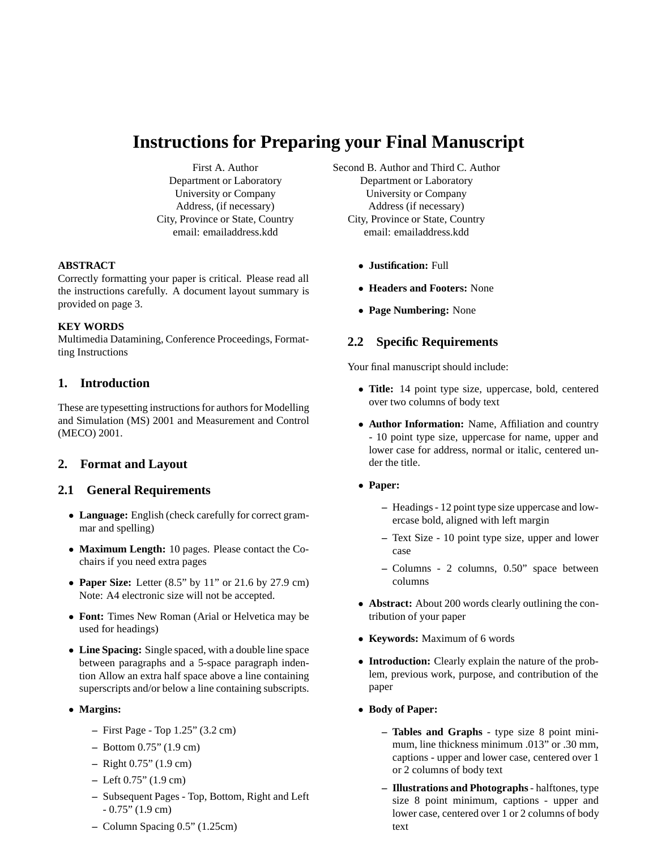# **Instructions for Preparing your Final Manuscript**

First A. Author Department or Laboratory University or Company Address, (if necessary) City, Province or State, Country email: emailaddress.kdd

#### **ABSTRACT**

Correctly formatting your paper is critical. Please read all the instructions carefully. A document layout summary is provided on page 3.

#### **KEY WORDS**

Multimedia Datamining, Conference Proceedings, Formatting Instructions

## **1. Introduction**

These are typesetting instructions for authors for Modelling and Simulation (MS) 2001 and Measurement and Control (MECO) 2001.

# **2. Format and Layout**

## **2.1 General Requirements**

- **Language:** English (check carefully for correct grammar and spelling)
- **Maximum Length:** 10 pages. Please contact the Cochairs if you need extra pages
- **Paper Size:** Letter (8.5" by 11" or 21.6 by 27.9 cm) Note: A4 electronic size will not be accepted.
- **Font:** Times New Roman (Arial or Helvetica may be used for headings)
- **Line Spacing:** Single spaced, with a double line space between paragraphs and a 5-space paragraph indention Allow an extra half space above a line containing superscripts and/or below a line containing subscripts.
- **Margins:**
	- **–** First Page Top 1.25" (3.2 cm)
	- **–** Bottom 0.75" (1.9 cm)
	- **–** Right 0.75" (1.9 cm)
	- **–** Left 0.75" (1.9 cm)
	- **–** Subsequent Pages Top, Bottom, Right and Left  $-0.75$ " (1.9 cm)
	- **–** Column Spacing 0.5" (1.25cm)

Second B. Author and Third C. Author Department or Laboratory University or Company Address (if necessary) City, Province or State, Country email: emailaddress.kdd

- **Justification:** Full
- **Headers and Footers:** None
- **Page Numbering:** None

# **2.2 Specific Requirements**

Your final manuscript should include:

- **Title:** 14 point type size, uppercase, bold, centered over two columns of body text
- **Author Information:** Name, Affiliation and country - 10 point type size, uppercase for name, upper and lower case for address, normal or italic, centered under the title.
- **Paper:**
	- **–** Headings 12 point type size uppercase and lowercase bold, aligned with left margin
	- **–** Text Size 10 point type size, upper and lower case
	- **–** Columns 2 columns, 0.50" space between columns
- **Abstract:** About 200 words clearly outlining the contribution of your paper
- **Keywords:** Maximum of 6 words
- **Introduction:** Clearly explain the nature of the problem, previous work, purpose, and contribution of the paper
- **Body of Paper:**
	- **Tables and Graphs** type size 8 point minimum, line thickness minimum .013" or .30 mm, captions - upper and lower case, centered over 1 or 2 columns of body text
	- **Illustrations and Photographs** halftones, type size 8 point minimum, captions - upper and lower case, centered over 1 or 2 columns of body text